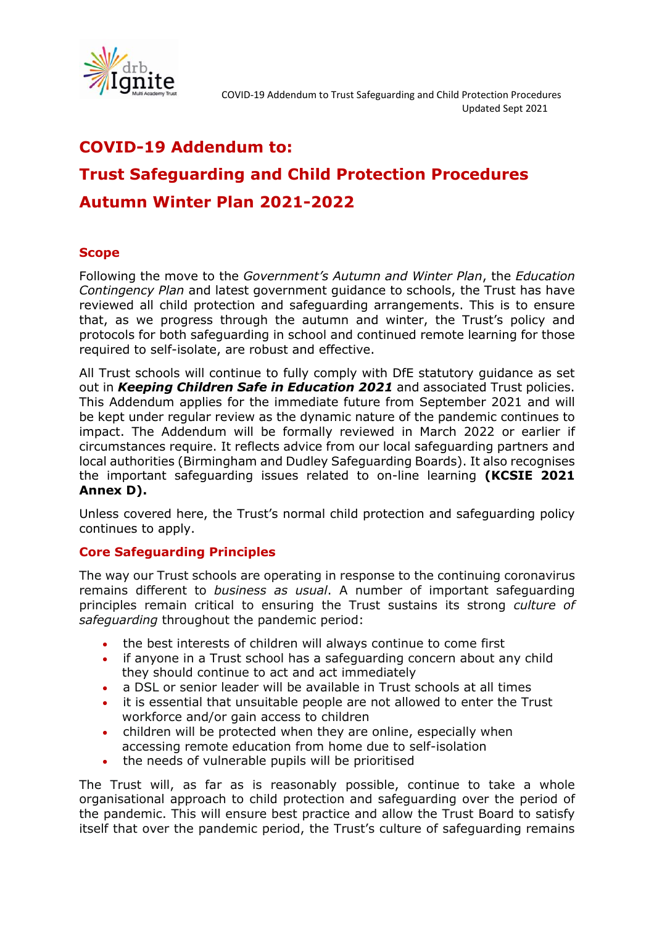

# **COVID-19 Addendum to: Trust Safeguarding and Child Protection Procedures Autumn Winter Plan 2021-2022**

# **Scope**

Following the move to the *Government's Autumn and Winter Plan*, the *Education Contingency Plan* and latest government guidance to schools, the Trust has have reviewed all child protection and safeguarding arrangements. This is to ensure that, as we progress through the autumn and winter, the Trust's policy and protocols for both safeguarding in school and continued remote learning for those required to self-isolate, are robust and effective.

All Trust schools will continue to fully comply with DfE statutory guidance as set out in *Keeping Children Safe in Education 2021* and associated Trust policies. This Addendum applies for the immediate future from September 2021 and will be kept under regular review as the dynamic nature of the pandemic continues to impact. The Addendum will be formally reviewed in March 2022 or earlier if circumstances require. It reflects advice from our local safeguarding partners and local authorities (Birmingham and Dudley Safeguarding Boards). It also recognises the important safeguarding issues related to on-line learning **(KCSIE 2021 Annex D).**

Unless covered here, the Trust's normal child protection and safeguarding policy continues to apply.

### **Core Safeguarding Principles**

The way our Trust schools are operating in response to the continuing coronavirus remains different to *business as usual*. A number of important safeguarding principles remain critical to ensuring the Trust sustains its strong *culture of safeguarding* throughout the pandemic period:

- the best interests of children will always continue to come first
- if anyone in a Trust school has a safeguarding concern about any child they should continue to act and act immediately
- a DSL or senior leader will be available in Trust schools at all times
- it is essential that unsuitable people are not allowed to enter the Trust workforce and/or gain access to children
- children will be protected when they are online, especially when accessing remote education from home due to self-isolation
- the needs of vulnerable pupils will be prioritised

The Trust will, as far as is reasonably possible, continue to take a whole organisational approach to child protection and safeguarding over the period of the pandemic. This will ensure best practice and allow the Trust Board to satisfy itself that over the pandemic period, the Trust's culture of safeguarding remains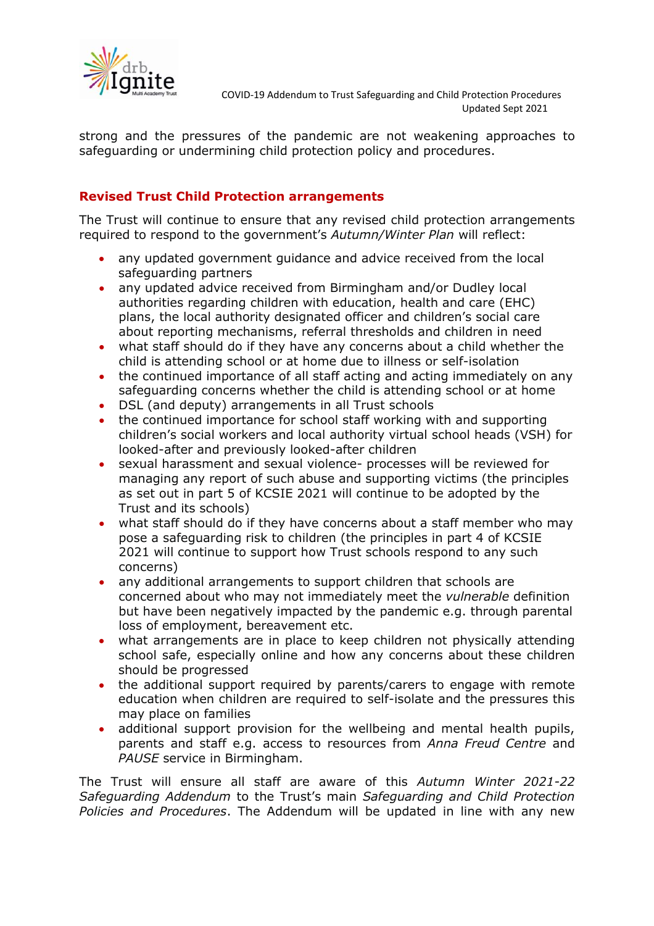

strong and the pressures of the pandemic are not weakening approaches to safeguarding or undermining child protection policy and procedures.

# **Revised Trust Child Protection arrangements**

The Trust will continue to ensure that any revised child protection arrangements required to respond to the government's *Autumn/Winter Plan* will reflect:

- any updated government guidance and advice received from the local safeguarding partners
- any updated advice received from Birmingham and/or Dudley local authorities regarding children with education, health and care (EHC) plans, the local authority designated officer and children's social care about reporting mechanisms, referral thresholds and children in need
- what staff should do if they have any concerns about a child whether the child is attending school or at home due to illness or self-isolation
- the continued importance of all staff acting and acting immediately on any safeguarding concerns whether the child is attending school or at home
- DSL (and deputy) arrangements in all Trust schools
- the continued importance for school staff working with and supporting children's social workers and local authority virtual school heads (VSH) for looked-after and previously looked-after children
- sexual harassment and sexual violence- processes will be reviewed for managing any report of such abuse and supporting victims (the principles as set out in part 5 of KCSIE 2021 will continue to be adopted by the Trust and its schools)
- what staff should do if they have concerns about a staff member who may pose a safeguarding risk to children (the principles in part 4 of KCSIE 2021 will continue to support how Trust schools respond to any such concerns)
- any additional arrangements to support children that schools are concerned about who may not immediately meet the *vulnerable* definition but have been negatively impacted by the pandemic e.g. through parental loss of employment, bereavement etc.
- what arrangements are in place to keep children not physically attending school safe, especially online and how any concerns about these children should be progressed
- the additional support required by parents/carers to engage with remote education when children are required to self-isolate and the pressures this may place on families
- additional support provision for the wellbeing and mental health pupils, parents and staff e.g. access to resources from *Anna Freud Centre* and *PAUSE* service in Birmingham.

The Trust will ensure all staff are aware of this *Autumn Winter 2021-22 Safeguarding Addendum* to the Trust's main *Safeguarding and Child Protection Policies and Procedures*. The Addendum will be updated in line with any new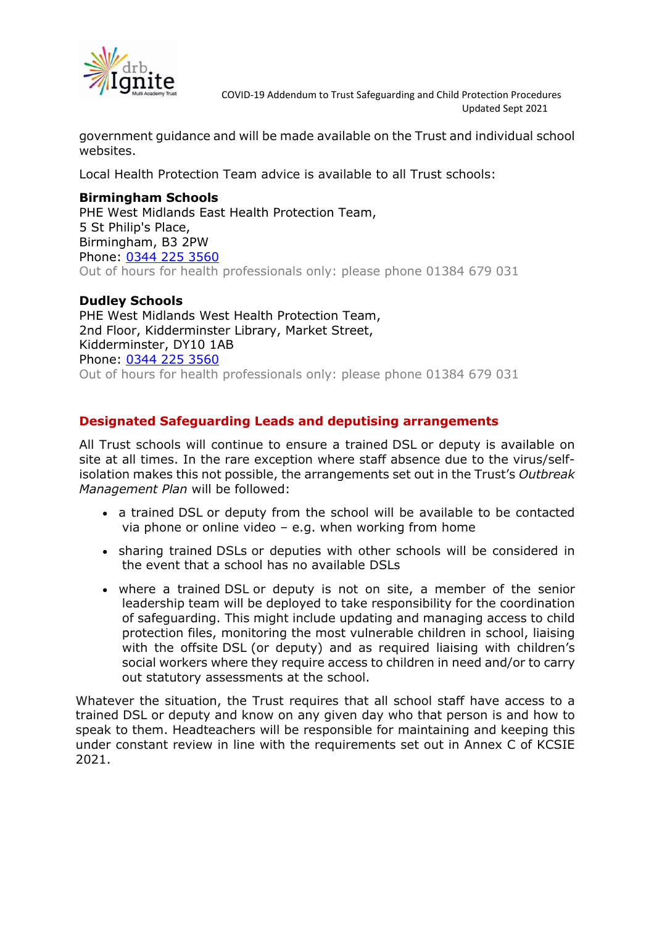

 COVID-19 Addendum to Trust Safeguarding and Child Protection Procedures Updated Sept 2021

government guidance and will be made available on the Trust and individual school websites.

Local Health Protection Team advice is available to all Trust schools:

#### **Birmingham Schools**

PHE West Midlands East Health Protection Team, 5 St Philip's Place, Birmingham, B3 2PW Phone: [0344 225 3560](tel://0344%20225%203560/) Out of hours for health professionals only: please phone 01384 679 031

#### **Dudley Schools**

PHE West Midlands West Health Protection Team, 2nd Floor, Kidderminster Library, Market Street, Kidderminster, DY10 1AB Phone: [0344 225 3560](tel://0344%20225%203560/) Out of hours for health professionals only: please phone 01384 679 031

## **Designated Safeguarding Leads and deputising arrangements**

All Trust schools will continue to ensure a trained DSL or deputy is available on site at all times. In the rare exception where staff absence due to the virus/selfisolation makes this not possible, the arrangements set out in the Trust's *Outbreak Management Plan* will be followed:

- a trained DSL or deputy from the school will be available to be contacted via phone or online video  $-$  e.g. when working from home
- sharing trained DSLs or deputies with other schools will be considered in the event that a school has no available DSLs
- where a trained DSL or deputy is not on site, a member of the senior leadership team will be deployed to take responsibility for the coordination of safeguarding. This might include updating and managing access to child protection files, monitoring the most vulnerable children in school, liaising with the offsite DSL (or deputy) and as required liaising with children's social workers where they require access to children in need and/or to carry out statutory assessments at the school.

Whatever the situation, the Trust requires that all school staff have access to a trained DSL or deputy and know on any given day who that person is and how to speak to them. Headteachers will be responsible for maintaining and keeping this under constant review in line with the requirements set out in Annex C of KCSIE 2021.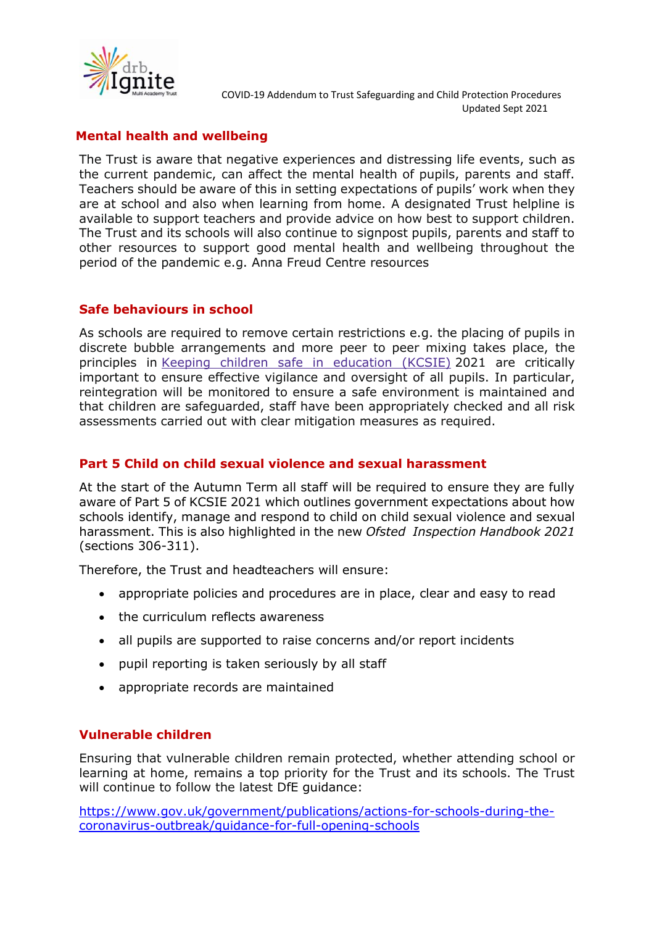

# **Mental health and wellbeing**

The Trust is aware that negative experiences and distressing life events, such as the current pandemic, can affect the mental health of pupils, parents and staff. Teachers should be aware of this in setting expectations of pupils' work when they are at school and also when learning from home. A designated Trust helpline is available to support teachers and provide advice on how best to support children. The Trust and its schools will also continue to signpost pupils, parents and staff to other resources to support good mental health and wellbeing throughout the period of the pandemic e.g. Anna Freud Centre resources

### **Safe behaviours in school**

As schools are required to remove certain restrictions e.g. the placing of pupils in discrete bubble arrangements and more peer to peer mixing takes place, the principles in Keeping children safe in [education](https://www.gov.uk/government/publications/keeping-children-safe-in-education--2) (KCSIE) 2021 are critically important to ensure effective vigilance and oversight of all pupils. In particular, reintegration will be monitored to ensure a safe environment is maintained and that children are safeguarded, staff have been appropriately checked and all risk assessments carried out with clear mitigation measures as required.

## **Part 5 Child on child sexual violence and sexual harassment**

At the start of the Autumn Term all staff will be required to ensure they are fully aware of Part 5 of KCSIE 2021 which outlines government expectations about how schools identify, manage and respond to child on child sexual violence and sexual harassment. This is also highlighted in the new *Ofsted Inspection Handbook 2021* (sections 306-311).

Therefore, the Trust and headteachers will ensure:

- appropriate policies and procedures are in place, clear and easy to read
- the curriculum reflects awareness
- all pupils are supported to raise concerns and/or report incidents
- pupil reporting is taken seriously by all staff
- appropriate records are maintained

### **Vulnerable children**

Ensuring that vulnerable children remain protected, whether attending school or learning at home, remains a top priority for the Trust and its schools. The Trust will continue to follow the latest DfE guidance:

[https://www.gov.uk/government/publications/actions-for-schools-during-the](https://www.gov.uk/government/publications/actions-for-schools-during-the-coronavirus-outbreak/guidance-for-full-opening-schools)[coronavirus-outbreak/guidance-for-full-opening-schools](https://www.gov.uk/government/publications/actions-for-schools-during-the-coronavirus-outbreak/guidance-for-full-opening-schools)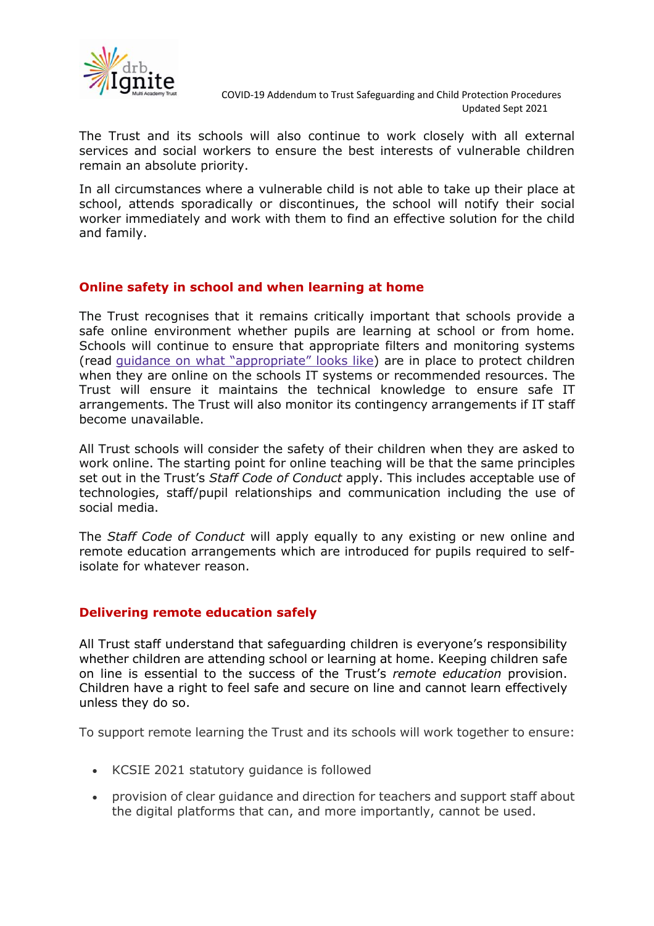

The Trust and its schools will also continue to work closely with all external services and social workers to ensure the best interests of vulnerable children remain an absolute priority.

In all circumstances where a vulnerable child is not able to take up their place at school, attends sporadically or discontinues, the school will notify their social worker immediately and work with them to find an effective solution for the child and family.

### **Online safety in school and when learning at home**

The Trust recognises that it remains critically important that schools provide a safe online environment whether pupils are learning at school or from home. Schools will continue to ensure that appropriate filters and monitoring systems (read guidance on what ["appropriate"](https://www.saferinternet.org.uk/advice-centre/teachers-and-school-staff/appropriate-filtering-and-monitoring) looks like) are in place to protect children when they are online on the schools IT systems or recommended resources. The Trust will ensure it maintains the technical knowledge to ensure safe IT arrangements. The Trust will also monitor its contingency arrangements if IT staff become unavailable.

All Trust schools will consider the safety of their children when they are asked to work online. The starting point for online teaching will be that the same principles set out in the Trust's *Staff Code of Conduct* apply. This includes acceptable use of technologies, staff/pupil relationships and communication including the use of social media.

The *Staff Code of Conduct* will apply equally to any existing or new online and remote education arrangements which are introduced for pupils required to selfisolate for whatever reason.

#### **Delivering remote education safely**

All Trust staff understand that safeguarding children is everyone's responsibility whether children are attending school or learning at home. Keeping children safe on line is essential to the success of the Trust's *remote education* provision. Children have a right to feel safe and secure on line and cannot learn effectively unless they do so.

To support remote learning the Trust and its schools will work together to ensure:

- KCSIE 2021 statutory guidance is followed
- provision of clear guidance and direction for teachers and support staff about the digital platforms that can, and more importantly, cannot be used.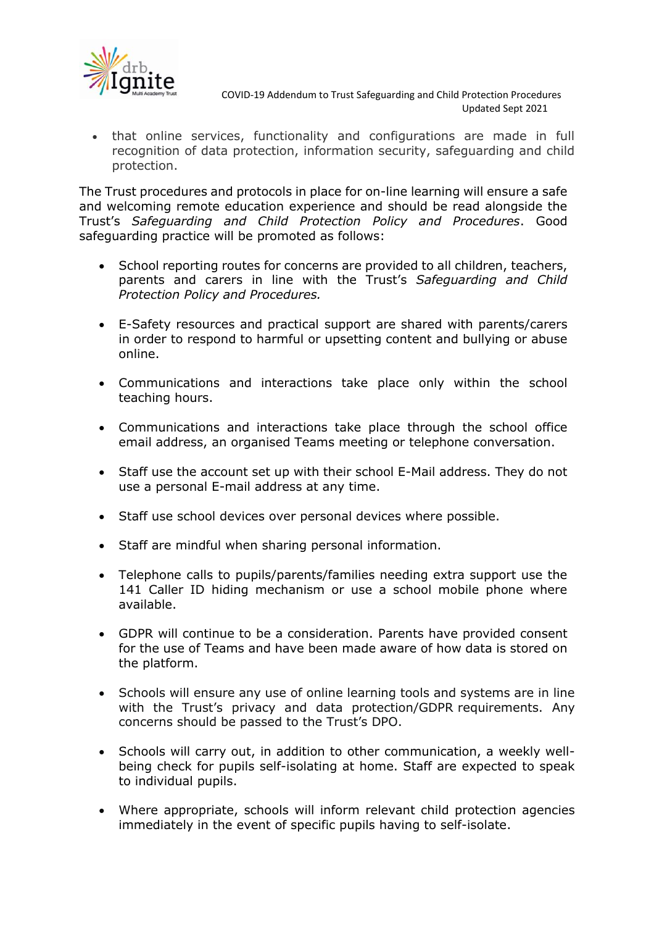

• that online services, functionality and configurations are made in full recognition of data protection, information security, safeguarding and child protection.

The Trust procedures and protocols in place for on-line learning will ensure a safe and welcoming remote education experience and should be read alongside the Trust's *Safeguarding and Child Protection Policy and Procedures*. Good safeguarding practice will be promoted as follows:

- School reporting routes for concerns are provided to all children, teachers, parents and carers in line with the Trust's *Safeguarding and Child Protection Policy and Procedures.*
- E-Safety resources and practical support are shared with parents/carers in order to respond to harmful or upsetting content and bullying or abuse online.
- Communications and interactions take place only within the school teaching hours.
- Communications and interactions take place through the school office email address, an organised Teams meeting or telephone conversation.
- Staff use the account set up with their school E-Mail address. They do not use a personal E-mail address at any time.
- Staff use school devices over personal devices where possible.
- Staff are mindful when sharing personal information.
- Telephone calls to pupils/parents/families needing extra support use the 141 Caller ID hiding mechanism or use a school mobile phone where available.
- GDPR will continue to be a consideration. Parents have provided consent for the use of Teams and have been made aware of how data is stored on the platform.
- Schools will ensure any use of online learning tools and systems are in line with the Trust's privacy and data protection/GDPR requirements. Any concerns should be passed to the Trust's DPO.
- Schools will carry out, in addition to other communication, a weekly wellbeing check for pupils self-isolating at home. Staff are expected to speak to individual pupils.
- Where appropriate, schools will inform relevant child protection agencies immediately in the event of specific pupils having to self-isolate.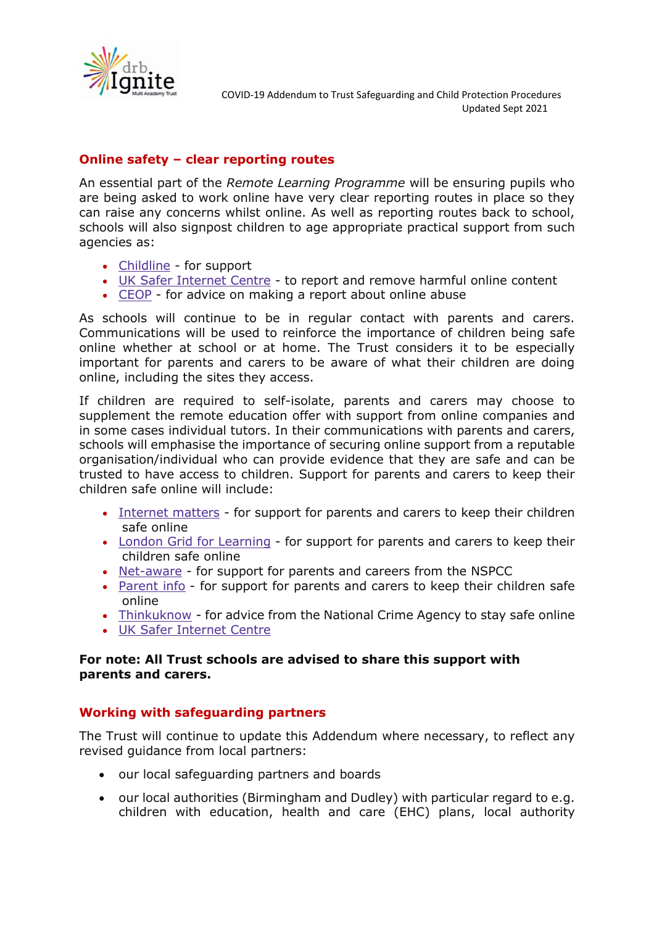

# **Online safety – clear reporting routes**

An essential part of the *Remote Learning Programme* will be ensuring pupils who are being asked to work online have very clear reporting routes in place so they can raise any concerns whilst online. As well as reporting routes back to school, schools will also signpost children to age appropriate practical support from such agencies as:

- [Childline](https://www.childline.org.uk/?utm_source=google&utm_medium=cpc&utm_campaign=UK_GO_S_B_BND_Grant_Childline_Information&utm_term=role_of_childline&gclsrc=aw.ds&&gclid=EAIaIQobChMIlfLRh-ez6AIVRrDtCh1N9QR2EAAYASAAEgLc-vD_BwE&gclsrc=aw.ds) for support
- UK Safer [Internet](https://reportharmfulcontent.com/) Centre to report and remove harmful online content
- [CEOP](https://www.ceop.police.uk/safety-centre/) for advice on making a report about online abuse

As schools will continue to be in regular contact with parents and carers. Communications will be used to reinforce the importance of children being safe online whether at school or at home. The Trust considers it to be especially important for parents and carers to be aware of what their children are doing online, including the sites they access.

If children are required to self-isolate, parents and carers may choose to supplement the remote education offer with support from online companies and in some cases individual tutors. In their communications with parents and carers, schools will emphasise the importance of securing online support from a reputable organisation/individual who can provide evidence that they are safe and can be trusted to have access to children. Support for parents and carers to keep their children safe online will include:

- [Internet](https://www.internetmatters.org/?gclid=EAIaIQobChMIktuA5LWK2wIVRYXVCh2afg2aEAAYASAAEgIJ5vD_BwE) matters for support for parents and carers to keep their children safe online
- London Grid for [Learning](http://www.lgfl.net/online-safety/) for support for parents and carers to keep their children safe online
- [Net-aware](https://www.net-aware.org.uk/) for support for parents and careers from the NSPCC
- [Parent](https://parentinfo.org/) info for support for parents and carers to keep their children safe online
- [Thinkuknow](http://www.thinkuknow.co.uk/) for advice from the National Crime Agency to stay safe online
- UK Safer [Internet](https://www.saferinternet.org.uk/advice-centre/parents-and-carers) Centre

### **For note: All Trust schools are advised to share this support with parents and carers.**

### **Working with safeguarding partners**

The Trust will continue to update this Addendum where necessary, to reflect any revised guidance from local partners:

- our local safeguarding partners and boards
- our local authorities (Birmingham and Dudley) with particular regard to e.g. children with education, health and care (EHC) plans, local authority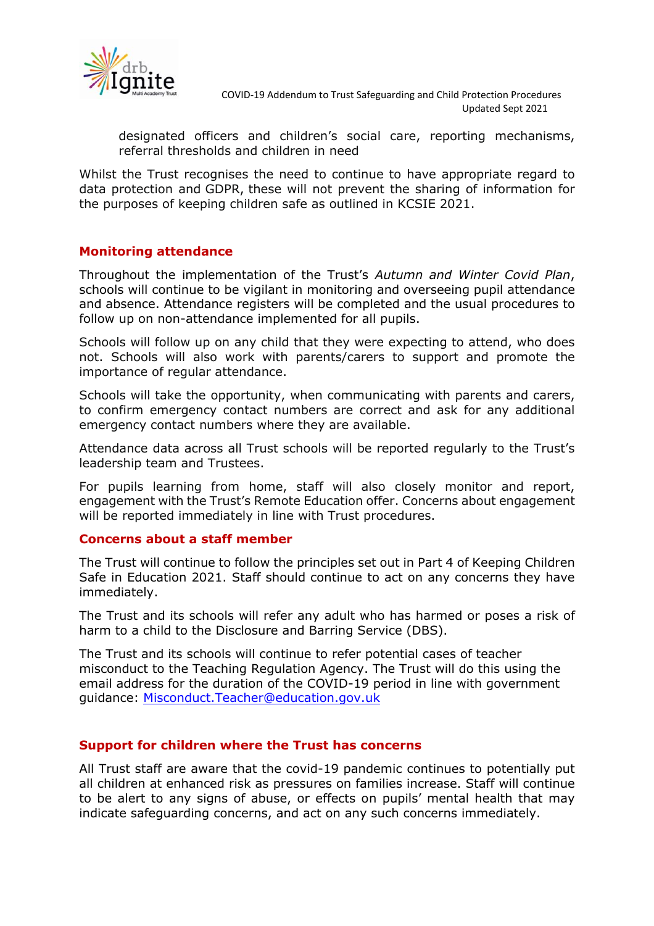

designated officers and children's social care, reporting mechanisms, referral thresholds and children in need

Whilst the Trust recognises the need to continue to have appropriate regard to data protection and GDPR, these will not prevent the sharing of information for the purposes of keeping children safe as outlined in KCSIE 2021.

#### **Monitoring attendance**

Throughout the implementation of the Trust's *Autumn and Winter Covid Plan*, schools will continue to be vigilant in monitoring and overseeing pupil attendance and absence. Attendance registers will be completed and the usual procedures to follow up on non-attendance implemented for all pupils.

Schools will follow up on any child that they were expecting to attend, who does not. Schools will also work with parents/carers to support and promote the importance of regular attendance.

Schools will take the opportunity, when communicating with parents and carers, to confirm emergency contact numbers are correct and ask for any additional emergency contact numbers where they are available.

Attendance data across all Trust schools will be reported regularly to the Trust's leadership team and Trustees.

For pupils learning from home, staff will also closely monitor and report, engagement with the Trust's Remote Education offer. Concerns about engagement will be reported immediately in line with Trust procedures.

#### **Concerns about a staff member**

The Trust will continue to follow the principles set out in Part 4 of Keeping Children Safe in Education 2021. Staff should continue to act on any concerns they have immediately.

The Trust and its schools will refer any adult who has harmed or poses a risk of harm to a child to the Disclosure and Barring Service (DBS).

The Trust and its schools will continue to refer potential cases of teacher misconduct to the Teaching Regulation Agency. The Trust will do this using the email address for the duration of the COVID-19 period in line with government guidance: [Misconduct.Teacher@education.gov.uk](mailto:Misconduct.Teacher@education.gov.uk)

#### **Support for children where the Trust has concerns**

All Trust staff are aware that the covid-19 pandemic continues to potentially put all children at enhanced risk as pressures on families increase. Staff will continue to be alert to any signs of abuse, or effects on pupils' mental health that may indicate safeguarding concerns, and act on any such concerns immediately.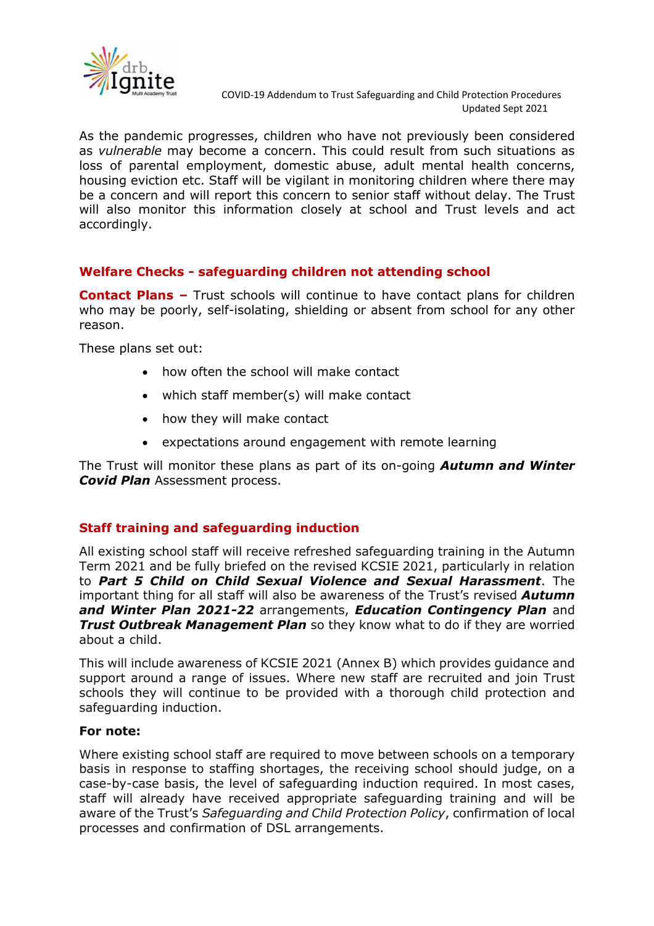

As the pandemic progresses, children who have not previously been considered as *vulnerable* may become a concern. This could result from such situations as loss of parental employment, domestic abuse, adult mental health concerns, housing eviction etc. Staff will be vigilant in monitoring children where there may be a concern and will report this concern to senior staff without delay. The Trust will also monitor this information closely at school and Trust levels and act accordingly.

### **Welfare Checks - safeguarding children not attending school**

**Contact Plans –** Trust schools will continue to have contact plans for children who may be poorly, self-isolating, shielding or absent from school for any other reason.

These plans set out:

- how often the school will make contact
- which staff member(s) will make contact
- how they will make contact
- expectations around engagement with remote learning

The Trust will monitor these plans as part of its on-going *Autumn and Winter Covid Plan* Assessment process.

### **Staff training and safeguarding induction**

All existing school staff will receive refreshed safeguarding training in the Autumn Term 2021 and be fully briefed on the revised KCSIE 2021, particularly in relation to *Part 5 Child on Child Sexual Violence and Sexual Harassment*. The important thing for all staff will also be awareness of the Trust's revised *Autumn and Winter Plan 2021-22* arrangements, *Education Contingency Plan* and *Trust Outbreak Management Plan* so they know what to do if they are worried about a child.

This will include awareness of KCSIE 2021 (Annex B) which provides guidance and support around a range of issues. Where new staff are recruited and join Trust schools they will continue to be provided with a thorough child protection and safeguarding induction.

#### **For note:**

Where existing school staff are required to move between schools on a temporary basis in response to staffing shortages, the receiving school should judge, on a case-by-case basis, the level of safeguarding induction required. In most cases, staff will already have received appropriate safeguarding training and will be aware of the Trust's *Safeguarding and Child Protection Policy*, confirmation of local processes and confirmation of DSL arrangements.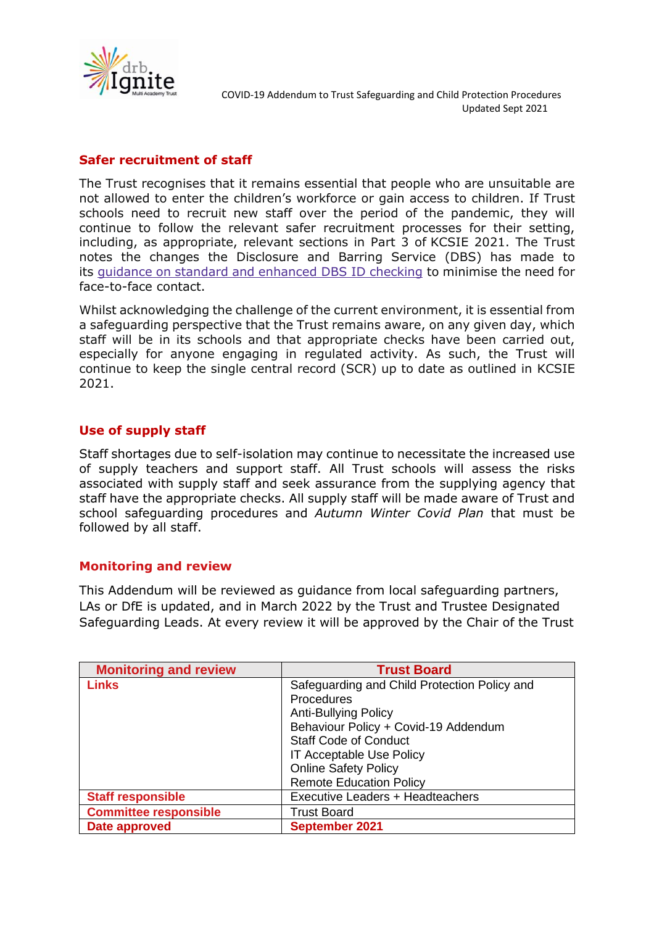

### **Safer recruitment of staff**

The Trust recognises that it remains essential that people who are unsuitable are not allowed to enter the children's workforce or gain access to children. If Trust schools need to recruit new staff over the period of the pandemic, they will continue to follow the relevant safer recruitment processes for their setting, including, as appropriate, relevant sections in Part 3 of KCSIE 2021. The Trust notes the changes the Disclosure and Barring Service (DBS) has made to its guidance on standard and [enhanced](https://www.gov.uk/government/news/covid-19-changes-to-standard-and-enhanced-id-checking-guidelines) DBS ID checking to minimise the need for face-to-face contact.

Whilst acknowledging the challenge of the current environment, it is essential from a safeguarding perspective that the Trust remains aware, on any given day, which staff will be in its schools and that appropriate checks have been carried out, especially for anyone engaging in regulated activity. As such, the Trust will continue to keep the single central record (SCR) up to date as outlined in KCSIE 2021.

# **Use of supply staff**

Staff shortages due to self-isolation may continue to necessitate the increased use of supply teachers and support staff. All Trust schools will assess the risks associated with supply staff and seek assurance from the supplying agency that staff have the appropriate checks. All supply staff will be made aware of Trust and school safeguarding procedures and *Autumn Winter Covid Plan* that must be followed by all staff.

#### **Monitoring and review**

This Addendum will be reviewed as guidance from local safeguarding partners, LAs or DfE is updated, and in March 2022 by the Trust and Trustee Designated Safeguarding Leads. At every review it will be approved by the Chair of the Trust

| <b>Monitoring and review</b> | <b>Trust Board</b>                           |
|------------------------------|----------------------------------------------|
| <b>Links</b>                 | Safeguarding and Child Protection Policy and |
|                              | <b>Procedures</b>                            |
|                              | <b>Anti-Bullying Policy</b>                  |
|                              | Behaviour Policy + Covid-19 Addendum         |
|                              | <b>Staff Code of Conduct</b>                 |
|                              | IT Acceptable Use Policy                     |
|                              | <b>Online Safety Policy</b>                  |
|                              | <b>Remote Education Policy</b>               |
| <b>Staff responsible</b>     | Executive Leaders + Headteachers             |
| <b>Committee responsible</b> | <b>Trust Board</b>                           |
| Date approved                | <b>September 2021</b>                        |